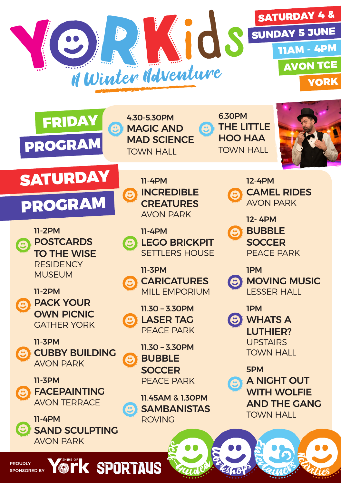





11-2PM POSTCARDS TO THE WISE **RESIDENCY** MUSEUM

11-2PM PACK YOUR OWN PICNIC GATHER YORK

11-3PM CUBBY BUILDING AVON PARK

11-3PM FACEPAINTING AVON TERRACE

PROUDLY SPONSORED BY

11-4PM SAND SCULPTING AVON PARK

11-4PM INCREDIBLE **CREATURES** AVON PARK

11-4PM

MAGIC AND MAD SCIENCE TOWN HALL

 $\bullet$ LEGO BRICKPIT SETTLERS HOUSE

11-3PM **CARICATURES** MILL EMPORIUM

11.30 – 3.30PM LASER TAG PEACE PARK

11.30 – 3.30PM BUBBLE **SOCCER** PEACE PARK

11.45AM & 1.30PM **SAMBANISTAS** ROVING

Second Company

6.30PM THE LITTLE HOO HAA TOWN HALL



12-4PM

CAMEL RIDES AVON PARK

12- 4PM BUBBLE

**SOCCER** PEACE PARK

1PM

MOVING MUSIC C LESSER HALL

1PM **C** WHATS A LUTHIER? **UPSTAIRS** TOWN HALL

5PM

Eshops

A NIGHT OUT WITH WOLFIE AND THE GANG TOWN HALL

Entertainers

**Ractives** 

**York Sportaus**